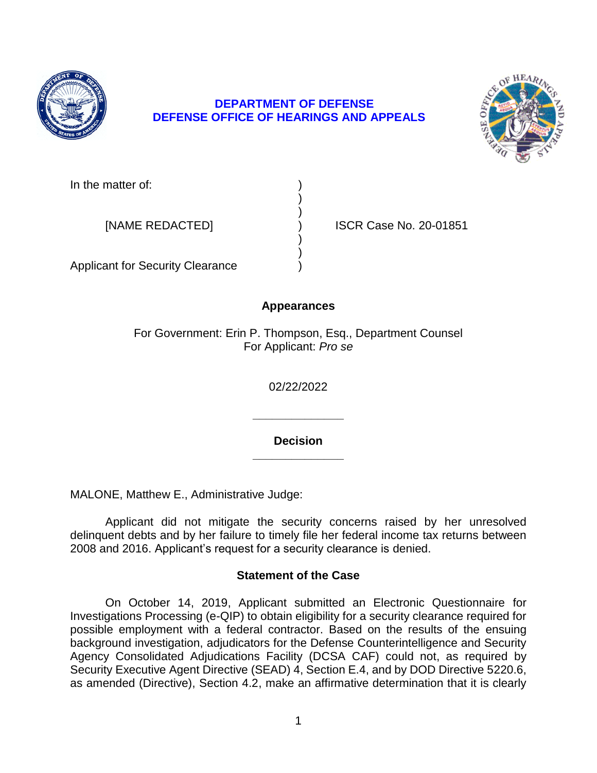

## **DEPARTMENT OF DEFENSE DEFENSE OFFICE OF HEARINGS AND APPEALS**



In the matter of:

[NAME REDACTED] ) ISCR Case No. 20-01851

Applicant for Security Clearance )

# **Appearances**

) )

) )

For Government: Erin P. Thompson, Esq., Department Counsel For Applicant: *Pro se* 

02/22/2022

**\_\_\_\_\_\_\_\_\_\_\_\_\_\_ Decision** 

**\_\_\_\_\_\_\_\_\_\_\_\_\_\_** 

MALONE, Matthew E., Administrative Judge:

 Applicant did not mitigate the security concerns raised by her unresolved delinquent debts and by her failure to timely file her federal income tax returns between 2008 and 2016. Applicant's request for a security clearance is denied.

## **Statement of the Case**

 On October 14, 2019, Applicant submitted an Electronic Questionnaire for Investigations Processing (e-QIP) to obtain eligibility for a security clearance required for possible employment with a federal contractor. Based on the results of the ensuing background investigation, adjudicators for the Defense Counterintelligence and Security Security Executive Agent Directive (SEAD) 4, Section E.4, and by DOD Directive 5220.6, as amended (Directive), Section 4.2, make an affirmative determination that it is clearly Agency Consolidated Adjudications Facility (DCSA CAF) could not, as required by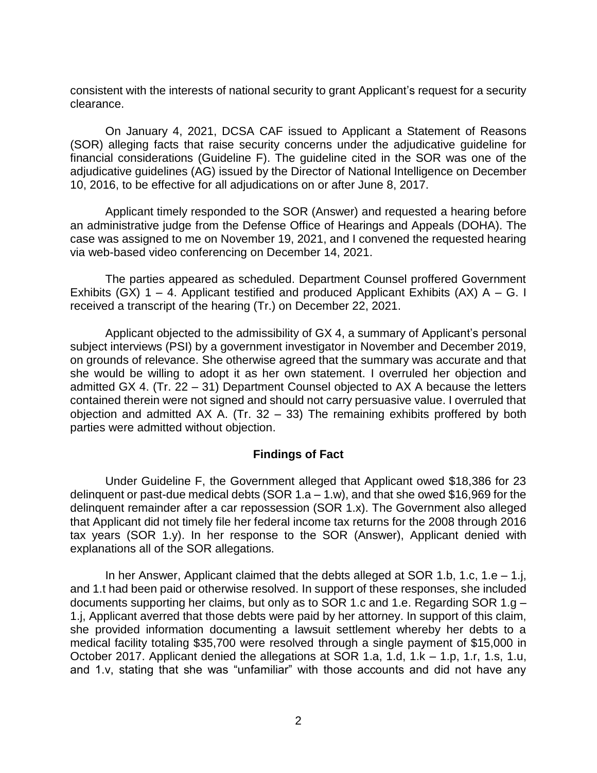consistent with the interests of national security to grant Applicant's request for a security clearance.

 (SOR) alleging facts that raise security concerns under the adjudicative guideline for financial considerations (Guideline F). The guideline cited in the SOR was one of the adjudicative guidelines (AG) issued by the Director of National Intelligence on December 10, 2016, to be effective for all adjudications on or after June 8, 2017. On January 4, 2021, DCSA CAF issued to Applicant a Statement of Reasons

 Applicant timely responded to the SOR (Answer) and requested a hearing before an administrative judge from the Defense Office of Hearings and Appeals (DOHA). The case was assigned to me on November 19, 2021, and I convened the requested hearing via web-based video conferencing on December 14, 2021.

 The parties appeared as scheduled. Department Counsel proffered Government Exhibits (GX)  $1 - 4$ . Applicant testified and produced Applicant Exhibits (AX) A – G. I received a transcript of the hearing (Tr.) on December 22, 2021.

 Applicant objected to the admissibility of GX 4, a summary of Applicant's personal on grounds of relevance. She otherwise agreed that the summary was accurate and that she would be willing to adopt it as her own statement. I overruled her objection and admitted GX 4. (Tr. 22 – 31) Department Counsel objected to AX A because the letters contained therein were not signed and should not carry persuasive value. I overruled that objection and admitted AX A. (Tr. 32 – 33) The remaining exhibits proffered by both subject interviews (PSI) by a government investigator in November and December 2019, parties were admitted without objection.

### **Findings of Fact**

 Under Guideline F, the Government alleged that Applicant owed \$18,386 for 23 delinquent or past-due medical debts (SOR 1.a – 1.w), and that she owed \$16,969 for the that Applicant did not timely file her federal income tax returns for the 2008 through 2016 tax years (SOR 1.y). In her response to the SOR (Answer), Applicant denied with delinquent remainder after a car repossession (SOR 1.x). The Government also alleged explanations all of the SOR allegations.

 In her Answer, Applicant claimed that the debts alleged at SOR 1.b, 1.c, 1.e – 1.j, and 1.t had been paid or otherwise resolved. In support of these responses, she included she provided information documenting a lawsuit settlement whereby her debts to a medical facility totaling \$35,700 were resolved through a single payment of \$15,000 in October 2017. Applicant denied the allegations at SOR 1.a, 1.d, 1.k – 1.p, 1.r, 1.s, 1.u, and 1.v, stating that she was "unfamiliar" with those accounts and did not have any documents supporting her claims, but only as to SOR 1.c and 1.e. Regarding SOR 1.g – 1.j, Applicant averred that those debts were paid by her attorney. In support of this claim,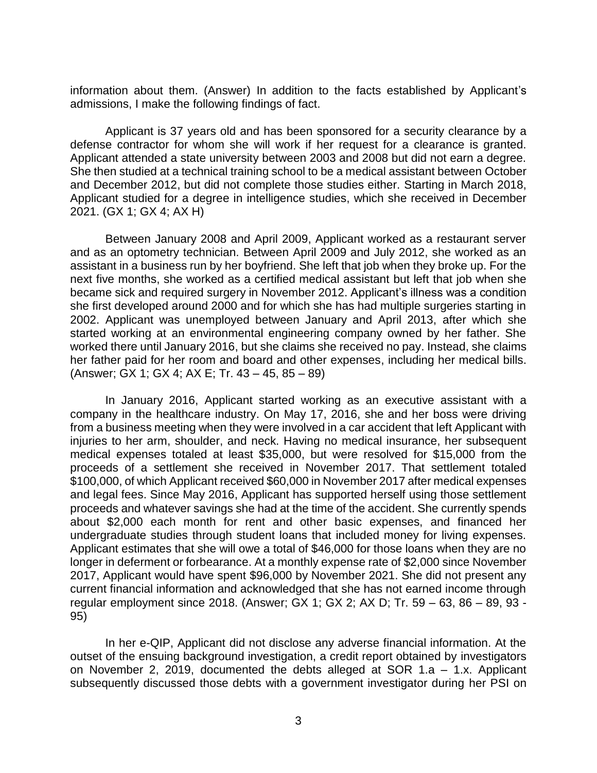information about them. (Answer) In addition to the facts established by Applicant's admissions, I make the following findings of fact.

 Applicant is 37 years old and has been sponsored for a security clearance by a defense contractor for whom she will work if her request for a clearance is granted. Applicant attended a state university between 2003 and 2008 but did not earn a degree. She then studied at a technical training school to be a medical assistant between October and December 2012, but did not complete those studies either. Starting in March 2018, Applicant studied for a degree in intelligence studies, which she received in December 2021. (GX 1; GX 4; AX H)

 Between January 2008 and April 2009, Applicant worked as a restaurant server and as an optometry technician. Between April 2009 and July 2012, she worked as an assistant in a business run by her boyfriend. She left that job when they broke up. For the next five months, she worked as a certified medical assistant but left that job when she became sick and required surgery in November 2012. Applicant's illness was a condition she first developed around 2000 and for which she has had multiple surgeries starting in 2002. Applicant was unemployed between January and April 2013, after which she started working at an environmental engineering company owned by her father. She worked there until January 2016, but she claims she received no pay. Instead, she claims her father paid for her room and board and other expenses, including her medical bills. (Answer; GX 1; GX 4; AX E; Tr. 43 – 45, 85 – 89)

In January 2016, Applicant started working as an executive assistant with a company in the healthcare industry. On May 17, 2016, she and her boss were driving from a business meeting when they were involved in a car accident that left Applicant with injuries to her arm, shoulder, and neck. Having no medical insurance, her subsequent medical expenses totaled at least \$35,000, but were resolved for \$15,000 from the proceeds of a settlement she received in November 2017. That settlement totaled \$100,000, of which Applicant received \$60,000 in November 2017 after medical expenses and legal fees. Since May 2016, Applicant has supported herself using those settlement proceeds and whatever savings she had at the time of the accident. She currently spends about \$2,000 each month for rent and other basic expenses, and financed her undergraduate studies through student loans that included money for living expenses. Applicant estimates that she will owe a total of \$46,000 for those loans when they are no longer in deferment or forbearance. At a monthly expense rate of \$2,000 since November 2017, Applicant would have spent \$96,000 by November 2021. She did not present any current financial information and acknowledged that she has not earned income through regular employment since 2018. (Answer; GX 1; GX 2; AX D; Tr. 59 – 63, 86 – 89, 93 - 95)

 In her e-QIP, Applicant did not disclose any adverse financial information. At the outset of the ensuing background investigation, a credit report obtained by investigators on November 2, 2019, documented the debts alleged at SOR 1.a – 1.x. Applicant subsequently discussed those debts with a government investigator during her PSI on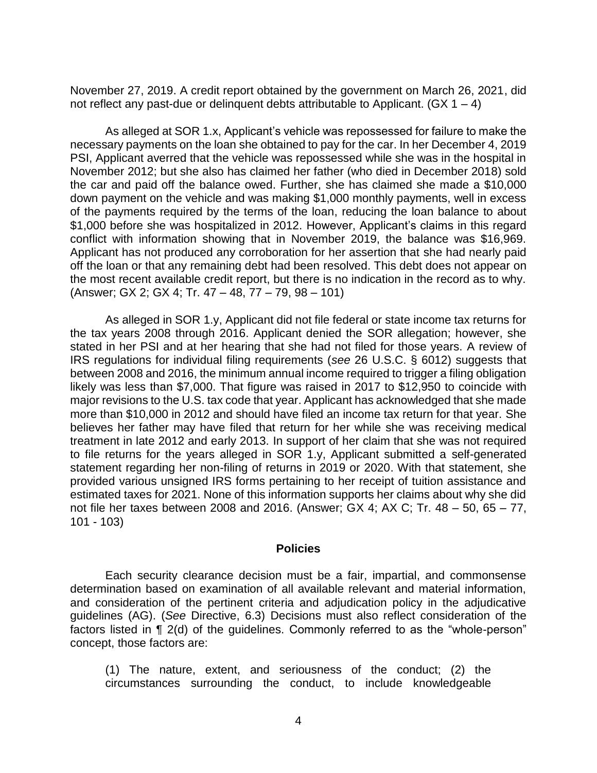November 27, 2019. A credit report obtained by the government on March 26, 2021, did not reflect any past-due or delinguent debts attributable to Applicant.  $(GX 1 - 4)$ 

 As alleged at SOR 1.x, Applicant's vehicle was repossessed for failure to make the necessary payments on the loan she obtained to pay for the car. In her December 4, 2019 November 2012; but she also has claimed her father (who died in December 2018) sold the car and paid off the balance owed. Further, she has claimed she made a \$10,000 down payment on the vehicle and was making \$1,000 monthly payments, well in excess of the payments required by the terms of the loan, reducing the loan balance to about \$1,000 before she was hospitalized in 2012. However, Applicant's claims in this regard conflict with information showing that in November 2019, the balance was \$16,969. Applicant has not produced any corroboration for her assertion that she had nearly paid off the loan or that any remaining debt had been resolved. This debt does not appear on the most recent available credit report, but there is no indication in the record as to why. PSI, Applicant averred that the vehicle was repossessed while she was in the hospital in (Answer; GX 2; GX 4; Tr. 47 – 48, 77 – 79, 98 – 101)

 As alleged in SOR 1.y, Applicant did not file federal or state income tax returns for the tax years 2008 through 2016. Applicant denied the SOR allegation; however, she stated in her PSI and at her hearing that she had not filed for those years. A review of IRS regulations for individual filing requirements (*see* 26 U.S.C. § 6012) suggests that between 2008 and 2016, the minimum annual income required to trigger a filing obligation likely was less than \$7,000. That figure was raised in 2017 to \$12,950 to coincide with major revisions to the U.S. tax code that year. Applicant has acknowledged that she made more than \$10,000 in 2012 and should have filed an income tax return for that year. She believes her father may have filed that return for her while she was receiving medical treatment in late 2012 and early 2013. In support of her claim that she was not required to file returns for the years alleged in SOR 1.y, Applicant submitted a self-generated statement regarding her non-filing of returns in 2019 or 2020. With that statement, she provided various unsigned IRS forms pertaining to her receipt of tuition assistance and estimated taxes for 2021. None of this information supports her claims about why she did not file her taxes between 2008 and 2016. (Answer; GX 4; AX C; Tr. 48 – 50, 65 – 77, 101 - 103)

#### **Policies**

 Each security clearance decision must be a fair, impartial, and commonsense determination based on examination of all available relevant and material information, and consideration of the pertinent criteria and adjudication policy in the adjudicative guidelines (AG). (*See* Directive, 6.3) Decisions must also reflect consideration of the factors listed in ¶ 2(d) of the guidelines. Commonly referred to as the "whole-person" concept, those factors are:

 (1) The nature, extent, and seriousness of the conduct; (2) the circumstances surrounding the conduct, to include knowledgeable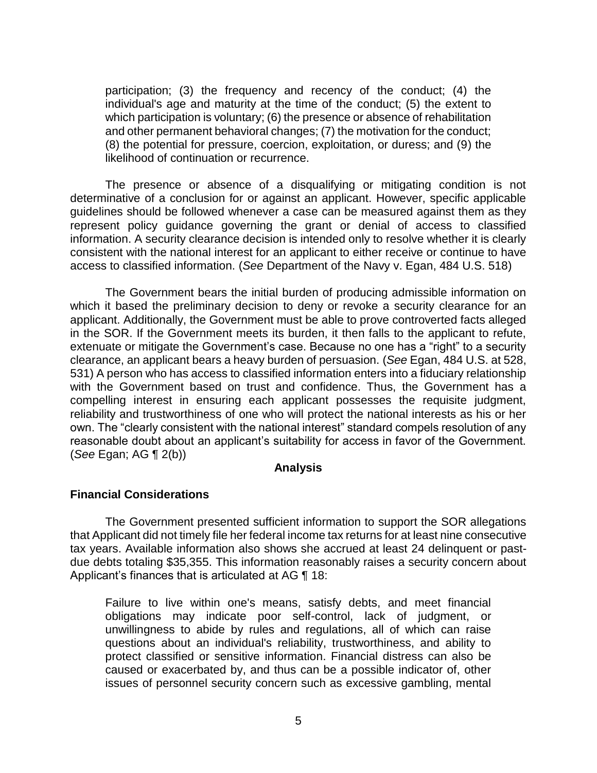participation; (3) the frequency and recency of the conduct; (4) the individual's age and maturity at the time of the conduct; (5) the extent to which participation is voluntary; (6) the presence or absence of rehabilitation and other permanent behavioral changes; (7) the motivation for the conduct; (8) the potential for pressure, coercion, exploitation, or duress; and (9) the likelihood of continuation or recurrence.

 The presence or absence of a disqualifying or mitigating condition is not determinative of a conclusion for or against an applicant. However, specific applicable guidelines should be followed whenever a case can be measured against them as they represent policy guidance governing the grant or denial of access to classified information. A security clearance decision is intended only to resolve whether it is clearly consistent with the national interest for an applicant to either receive or continue to have access to classified information. (*See* Department of the Navy v. Egan, 484 U.S. 518)

The Government bears the initial burden of producing admissible information on which it based the preliminary decision to deny or revoke a security clearance for an applicant. Additionally, the Government must be able to prove controverted facts alleged in the SOR. If the Government meets its burden, it then falls to the applicant to refute, extenuate or mitigate the Government's case. Because no one has a "right" to a security clearance, an applicant bears a heavy burden of persuasion. (*See* Egan, 484 U.S. at 528, 531) A person who has access to classified information enters into a fiduciary relationship with the Government based on trust and confidence. Thus, the Government has a compelling interest in ensuring each applicant possesses the requisite judgment, reliability and trustworthiness of one who will protect the national interests as his or her own. The "clearly consistent with the national interest" standard compels resolution of any reasonable doubt about an applicant's suitability for access in favor of the Government. (*See* Egan; AG ¶ 2(b))

#### **Analysis**

### **Financial Considerations**

 The Government presented sufficient information to support the SOR allegations that Applicant did not timely file her federal income tax returns for at least nine consecutive tax years. Available information also shows she accrued at least 24 delinquent or past- due debts totaling \$35,355. This information reasonably raises a security concern about Applicant's finances that is articulated at AG ¶ 18:

Failure to live within one's means, satisfy debts, and meet financial obligations may indicate poor self-control, lack of judgment, or unwillingness to abide by rules and regulations, all of which can raise questions about an individual's reliability, trustworthiness, and ability to protect classified or sensitive information. Financial distress can also be caused or exacerbated by, and thus can be a possible indicator of, other issues of personnel security concern such as excessive gambling, mental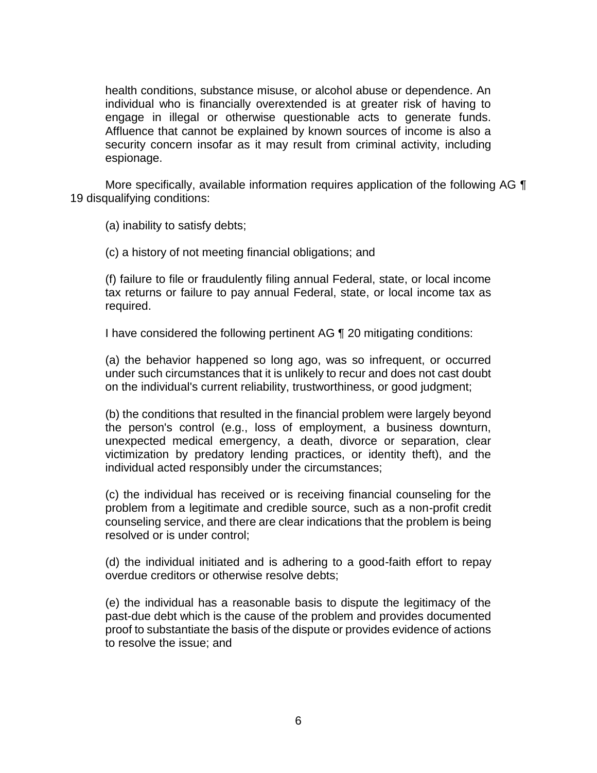health conditions, substance misuse, or alcohol abuse or dependence. An individual who is financially overextended is at greater risk of having to engage in illegal or otherwise questionable acts to generate funds. Affluence that cannot be explained by known sources of income is also a security concern insofar as it may result from criminal activity, including espionage.

More specifically, available information requires application of the following AG  $\P$ 19 disqualifying conditions:

(a) inability to satisfy debts;

(c) a history of not meeting financial obligations; and

 (f) failure to file or fraudulently filing annual Federal, state, or local income tax returns or failure to pay annual Federal, state, or local income tax as required.

I have considered the following pertinent AG ¶ 20 mitigating conditions:

(a) the behavior happened so long ago, was so infrequent, or occurred under such circumstances that it is unlikely to recur and does not cast doubt on the individual's current reliability, trustworthiness, or good judgment;

(b) the conditions that resulted in the financial problem were largely beyond the person's control (e.g., loss of employment, a business downturn, unexpected medical emergency, a death, divorce or separation, clear victimization by predatory lending practices, or identity theft), and the individual acted responsibly under the circumstances;

(c) the individual has received or is receiving financial counseling for the problem from a legitimate and credible source, such as a non-profit credit counseling service, and there are clear indications that the problem is being resolved or is under control;

(d) the individual initiated and is adhering to a good-faith effort to repay overdue creditors or otherwise resolve debts;

 (e) the individual has a reasonable basis to dispute the legitimacy of the proof to substantiate the basis of the dispute or provides evidence of actions past-due debt which is the cause of the problem and provides documented to resolve the issue; and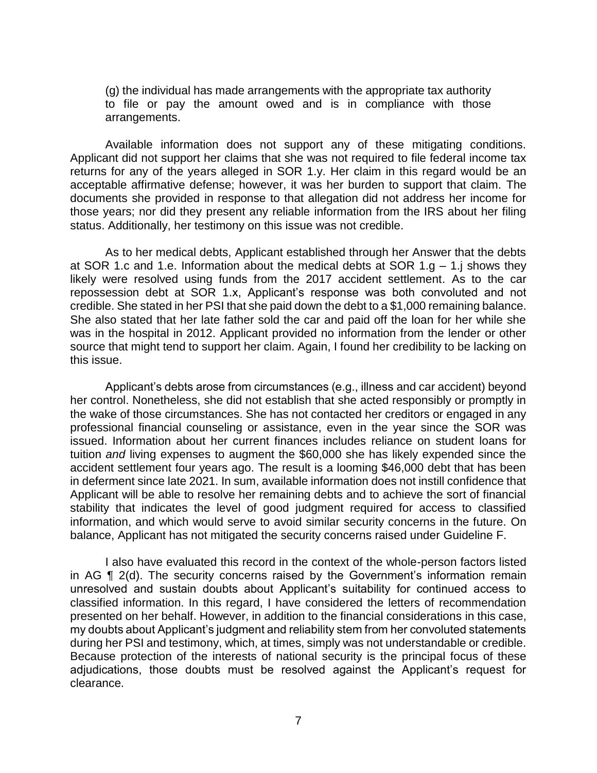(g) the individual has made arrangements with the appropriate tax authority to file or pay the amount owed and is in compliance with those arrangements.

 Available information does not support any of these mitigating conditions. Applicant did not support her claims that she was not required to file federal income tax returns for any of the years alleged in SOR 1.y. Her claim in this regard would be an acceptable affirmative defense; however, it was her burden to support that claim. The documents she provided in response to that allegation did not address her income for those years; nor did they present any reliable information from the IRS about her filing status. Additionally, her testimony on this issue was not credible.

 As to her medical debts, Applicant established through her Answer that the debts at SOR 1.c and 1.e. Information about the medical debts at SOR 1.g – 1.j shows they likely were resolved using funds from the 2017 accident settlement. As to the car repossession debt at SOR 1.x, Applicant's response was both convoluted and not credible. She stated in her PSI that she paid down the debt to a \$1,000 remaining balance. She also stated that her late father sold the car and paid off the loan for her while she was in the hospital in 2012. Applicant provided no information from the lender or other source that might tend to support her claim. Again, I found her credibility to be lacking on this issue.

 Applicant's debts arose from circumstances (e.g., illness and car accident) beyond her control. Nonetheless, she did not establish that she acted responsibly or promptly in the wake of those circumstances. She has not contacted her creditors or engaged in any professional financial counseling or assistance, even in the year since the SOR was issued. Information about her current finances includes reliance on student loans for tuition *and* living expenses to augment the \$60,000 she has likely expended since the accident settlement four years ago. The result is a looming \$46,000 debt that has been in deferment since late 2021. In sum, available information does not instill confidence that Applicant will be able to resolve her remaining debts and to achieve the sort of financial stability that indicates the level of good judgment required for access to classified information, and which would serve to avoid similar security concerns in the future. On balance, Applicant has not mitigated the security concerns raised under Guideline F.

 I also have evaluated this record in the context of the whole-person factors listed in AG ¶ 2(d). The security concerns raised by the Government's information remain unresolved and sustain doubts about Applicant's suitability for continued access to classified information. In this regard, I have considered the letters of recommendation presented on her behalf. However, in addition to the financial considerations in this case, my doubts about Applicant's judgment and reliability stem from her convoluted statements during her PSI and testimony, which, at times, simply was not understandable or credible. Because protection of the interests of national security is the principal focus of these adjudications, those doubts must be resolved against the Applicant's request for clearance.